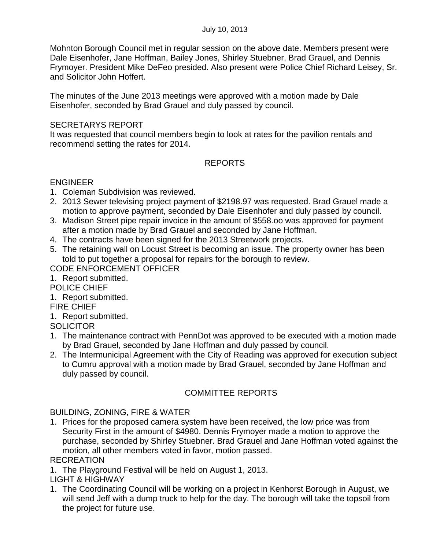Mohnton Borough Council met in regular session on the above date. Members present were Dale Eisenhofer, Jane Hoffman, Bailey Jones, Shirley Stuebner, Brad Grauel, and Dennis Frymoyer. President Mike DeFeo presided. Also present were Police Chief Richard Leisey, Sr. and Solicitor John Hoffert.

The minutes of the June 2013 meetings were approved with a motion made by Dale Eisenhofer, seconded by Brad Grauel and duly passed by council.

### SECRETARYS REPORT

It was requested that council members begin to look at rates for the pavilion rentals and recommend setting the rates for 2014.

# REPORTS

### ENGINEER

- 1. Coleman Subdivision was reviewed.
- 2. 2013 Sewer televising project payment of \$2198.97 was requested. Brad Grauel made a motion to approve payment, seconded by Dale Eisenhofer and duly passed by council.
- 3. Madison Street pipe repair invoice in the amount of \$558.oo was approved for payment after a motion made by Brad Grauel and seconded by Jane Hoffman.
- 4. The contracts have been signed for the 2013 Streetwork projects.
- 5. The retaining wall on Locust Street is becoming an issue. The property owner has been told to put together a proposal for repairs for the borough to review.

## CODE ENFORCEMENT OFFICER

- 1. Report submitted.
- POLICE CHIEF
- 1. Report submitted.
- FIRE CHIEF
- 1. Report submitted.
- **SOLICITOR**
- 1. The maintenance contract with PennDot was approved to be executed with a motion made by Brad Grauel, seconded by Jane Hoffman and duly passed by council.
- 2. The Intermunicipal Agreement with the City of Reading was approved for execution subject to Cumru approval with a motion made by Brad Grauel, seconded by Jane Hoffman and duly passed by council.

## COMMITTEE REPORTS

#### BUILDING, ZONING, FIRE & WATER

1. Prices for the proposed camera system have been received, the low price was from Security First in the amount of \$4980. Dennis Frymoyer made a motion to approve the purchase, seconded by Shirley Stuebner. Brad Grauel and Jane Hoffman voted against the motion, all other members voted in favor, motion passed.

#### RECREATION

1. The Playground Festival will be held on August 1, 2013.

LIGHT & HIGHWAY

1. The Coordinating Council will be working on a project in Kenhorst Borough in August, we will send Jeff with a dump truck to help for the day. The borough will take the topsoil from the project for future use.